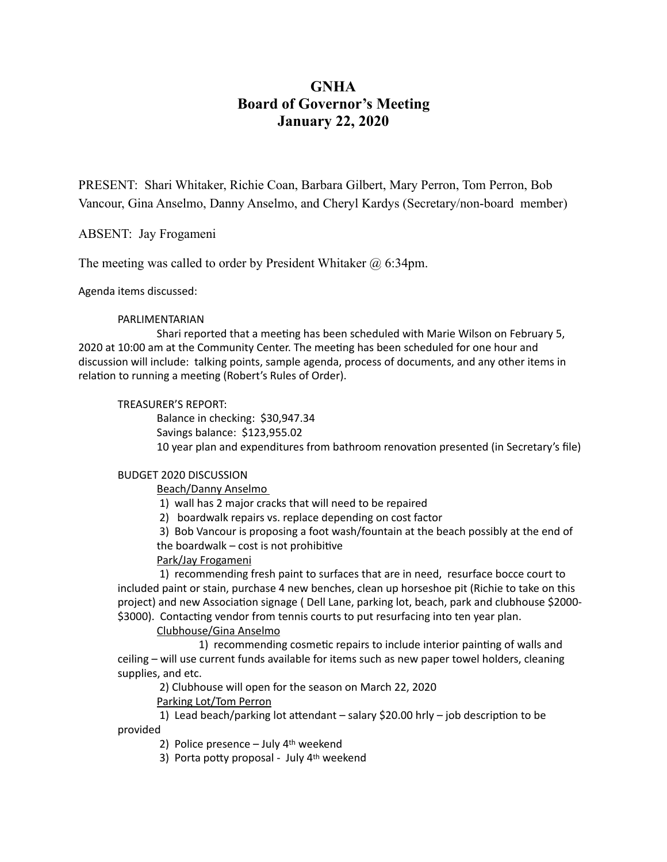# **GNHA Board of Governor's Meeting January 22, 2020**

PRESENT: Shari Whitaker, Richie Coan, Barbara Gilbert, Mary Perron, Tom Perron, Bob Vancour, Gina Anselmo, Danny Anselmo, and Cheryl Kardys (Secretary/non-board member)

ABSENT: Jay Frogameni

The meeting was called to order by President Whitaker @ 6:34pm.

Agenda items discussed:

## PARLIMENTARIAN

Shari reported that a meeting has been scheduled with Marie Wilson on February 5, 2020 at 10:00 am at the Community Center. The meeting has been scheduled for one hour and discussion will include: talking points, sample agenda, process of documents, and any other items in relation to running a meeting (Robert's Rules of Order).

## TREASURER'S REPORT:

Balance in checking: \$30,947.34 Savings balance: \$123,955.02 10 year plan and expenditures from bathroom renovation presented (in Secretary's file)

#### **BUDGET 2020 DISCUSSION**

 Beach/Danny Anselmo 

1) wall has 2 major cracks that will need to be repaired

2) boardwalk repairs vs. replace depending on cost factor

3) Bob Vancour is proposing a foot wash/fountain at the beach possibly at the end of the boardwalk  $-$  cost is not prohibitive

# Park/Jay Frogameni

1) recommending fresh paint to surfaces that are in need, resurface bocce court to included paint or stain, purchase 4 new benches, clean up horseshoe pit (Richie to take on this project) and new Association signage ( Dell Lane, parking lot, beach, park and clubhouse \$2000-\$3000). Contacting vendor from tennis courts to put resurfacing into ten year plan.

# Clubhouse/Gina Anselmo

1) recommending cosmetic repairs to include interior painting of walls and ceiling - will use current funds available for items such as new paper towel holders, cleaning supplies, and etc.

2) Clubhouse will open for the season on March 22, 2020

Parking Lot/Tom Perron

1) Lead beach/parking lot attendant  $-$  salary \$20.00 hrly  $-$  job description to be provided 

2) Police presence  $-$  July  $4<sup>th</sup>$  weekend

3) Porta potty proposal - July  $4<sup>th</sup>$  weekend